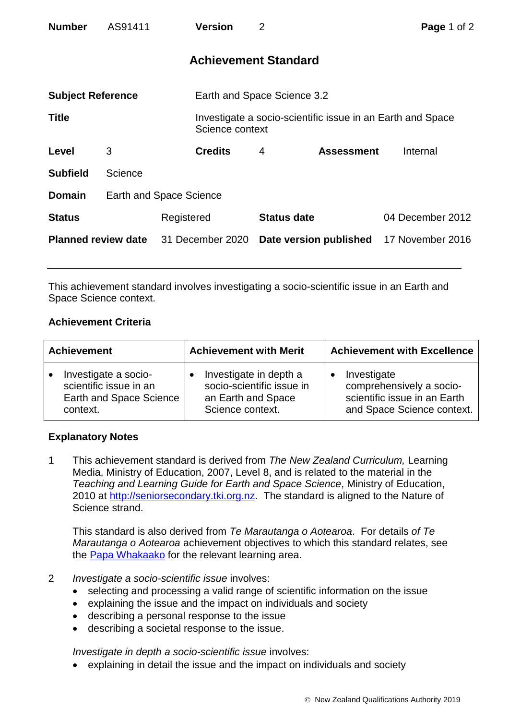| <b>Number</b>              | AS91411 |                         | <b>Version</b>              | $\overline{2}$     |                                                            | Page 1 of 2      |  |
|----------------------------|---------|-------------------------|-----------------------------|--------------------|------------------------------------------------------------|------------------|--|
|                            |         |                         | <b>Achievement Standard</b> |                    |                                                            |                  |  |
| <b>Subject Reference</b>   |         |                         | Earth and Space Science 3.2 |                    |                                                            |                  |  |
| <b>Title</b>               |         |                         | Science context             |                    | Investigate a socio-scientific issue in an Earth and Space |                  |  |
| Level                      | 3       |                         | <b>Credits</b>              | 4                  | <b>Assessment</b>                                          | Internal         |  |
| <b>Subfield</b>            | Science |                         |                             |                    |                                                            |                  |  |
| <b>Domain</b>              |         | Earth and Space Science |                             |                    |                                                            |                  |  |
| <b>Status</b>              |         | Registered              |                             | <b>Status date</b> |                                                            | 04 December 2012 |  |
| <b>Planned review date</b> |         | 31 December 2020        |                             |                    | Date version published                                     | 17 November 2016 |  |

This achievement standard involves investigating a socio-scientific issue in an Earth and Space Science context.

## **Achievement Criteria**

| <b>Achievement</b>      | <b>Achievement with Merit</b> | <b>Achievement with Excellence</b> |  |
|-------------------------|-------------------------------|------------------------------------|--|
| Investigate a socio-    | Investigate in depth a        | Investigate                        |  |
| scientific issue in an  | socio-scientific issue in     | comprehensively a socio-           |  |
| Earth and Space Science | an Earth and Space            | scientific issue in an Earth       |  |
| context.                | Science context.              | and Space Science context.         |  |

## **Explanatory Notes**

1 This achievement standard is derived from *The New Zealand Curriculum,* Learning Media, Ministry of Education, 2007, Level 8, and is related to the material in the *Teaching and Learning Guide for Earth and Space Science*, Ministry of Education, 2010 at [http://seniorsecondary.tki.org.nz.](http://seniorsecondary.tki.org.nz/) The standard is aligned to the Nature of Science strand.

This standard is also derived from *Te Marautanga o Aotearoa*. For details *of Te Marautanga o Aotearoa* achievement objectives to which this standard relates, see the [Papa Whakaako](http://tmoa.tki.org.nz/Te-Marautanga-o-Aotearoa/Taumata-Matauranga-a-Motu-Ka-Taea) for the relevant learning area.

- 2 *Investigate a socio-scientific issue* involves:
	- selecting and processing a valid range of scientific information on the issue
	- explaining the issue and the impact on individuals and society
	- describing a personal response to the issue
	- describing a societal response to the issue.

*Investigate in depth a socio-scientific issue* involves:

explaining in detail the issue and the impact on individuals and society